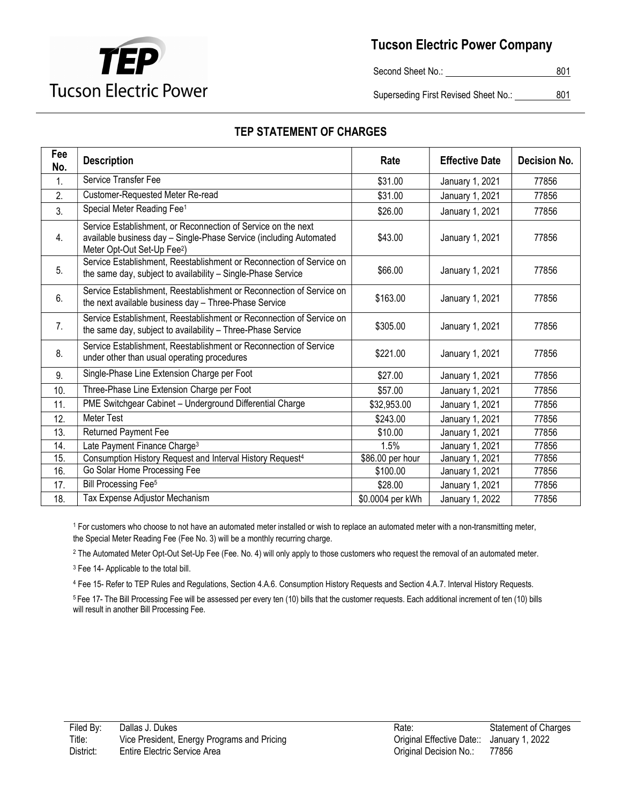

Second Sheet No.: 801

Superseding First Revised Sheet No.: \_\_\_\_\_\_\_\_\_\_801

| Fee<br>No. | <b>Description</b>                                                                                                                                                             | Rate             | <b>Effective Date</b> | <b>Decision No.</b> |
|------------|--------------------------------------------------------------------------------------------------------------------------------------------------------------------------------|------------------|-----------------------|---------------------|
| 1.         | Service Transfer Fee                                                                                                                                                           | \$31.00          | January 1, 2021       | 77856               |
| 2.         | Customer-Requested Meter Re-read                                                                                                                                               | \$31.00          | January 1, 2021       | 77856               |
| 3.         | Special Meter Reading Fee <sup>1</sup>                                                                                                                                         | \$26.00          | January 1, 2021       | 77856               |
| 4.         | Service Establishment, or Reconnection of Service on the next<br>available business day - Single-Phase Service (including Automated<br>Meter Opt-Out Set-Up Fee <sup>2</sup> ) | \$43.00          | January 1, 2021       | 77856               |
| 5.         | Service Establishment, Reestablishment or Reconnection of Service on<br>the same day, subject to availability - Single-Phase Service                                           | \$66.00          | January 1, 2021       | 77856               |
| 6.         | Service Establishment, Reestablishment or Reconnection of Service on<br>the next available business day - Three-Phase Service                                                  | \$163.00         | January 1, 2021       | 77856               |
| 7.         | Service Establishment, Reestablishment or Reconnection of Service on<br>the same day, subject to availability - Three-Phase Service                                            | \$305.00         | January 1, 2021       | 77856               |
| 8.         | Service Establishment, Reestablishment or Reconnection of Service<br>under other than usual operating procedures                                                               | \$221.00         | January 1, 2021       | 77856               |
| 9.         | Single-Phase Line Extension Charge per Foot                                                                                                                                    | \$27.00          | January 1, 2021       | 77856               |
| 10.        | Three-Phase Line Extension Charge per Foot                                                                                                                                     | \$57.00          | January 1, 2021       | 77856               |
| 11.        | PME Switchgear Cabinet - Underground Differential Charge                                                                                                                       | \$32,953.00      | January 1, 2021       | 77856               |
| 12.        | <b>Meter Test</b>                                                                                                                                                              | \$243.00         | January 1, 2021       | 77856               |
| 13.        | Returned Payment Fee                                                                                                                                                           | \$10.00          | January 1, 2021       | 77856               |
| 14.        | Late Payment Finance Charge <sup>3</sup>                                                                                                                                       | 1.5%             | January 1, 2021       | 77856               |
| 15.        | Consumption History Request and Interval History Request <sup>4</sup>                                                                                                          | \$86.00 per hour | January 1, 2021       | 77856               |

## TEP STATEMENT OF CHARGES

1 For customers who choose to not have an automated meter installed or wish to replace an automated meter with a non-transmitting meter, the Special Meter Reading Fee (Fee No. 3) will be a monthly recurring charge.

16. Go Solar Home Processing Fee **100.00** S100.00 January 1, 2021 77856 17. Bill Processing Fee<sup>5</sup> 528.00 January 1, 2021 77856 18. Tax Expense Adjustor Mechanism **18. Tax Expense Adjustor Mechanism** 1, 2022 77856

2 The Automated Meter Opt-Out Set-Up Fee (Fee. No. 4) will only apply to those customers who request the removal of an automated meter.

<sup>3</sup> Fee 14- Applicable to the total bill.

4 Fee 15- Refer to TEP Rules and Regulations, Section 4.A.6. Consumption History Requests and Section 4.A.7. Interval History Requests.

<sup>5</sup>Fee 17- The Bill Processing Fee will be assessed per every ten (10) bills that the customer requests. Each additional increment of ten (10) bills will result in another Bill Processing Fee.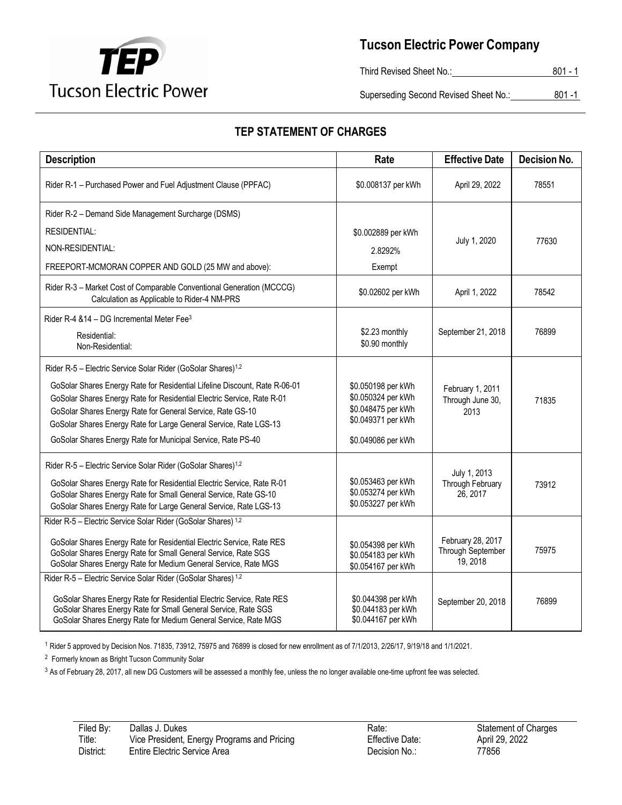

Third Revised Sheet No.: 801 - 1

Superseding Second Revised Sheet No.: 801 -1

## **TEP STATEMENT OF CHARGES**

| <b>Description</b>                                                                                                                                                                                                                                                                          | Rate                                                                                 | <b>Effective Date</b>                                     | <b>Decision No.</b> |
|---------------------------------------------------------------------------------------------------------------------------------------------------------------------------------------------------------------------------------------------------------------------------------------------|--------------------------------------------------------------------------------------|-----------------------------------------------------------|---------------------|
| Rider R-1 - Purchased Power and Fuel Adjustment Clause (PPFAC)                                                                                                                                                                                                                              | \$0.008137 per kWh                                                                   | April 29, 2022                                            | 78551               |
| Rider R-2 - Demand Side Management Surcharge (DSMS)                                                                                                                                                                                                                                         |                                                                                      |                                                           |                     |
| <b>RESIDENTIAL:</b>                                                                                                                                                                                                                                                                         | \$0.002889 per kWh                                                                   |                                                           |                     |
| NON-RESIDENTIAL:                                                                                                                                                                                                                                                                            | 2.8292%                                                                              | July 1, 2020                                              | 77630               |
| FREEPORT-MCMORAN COPPER AND GOLD (25 MW and above):                                                                                                                                                                                                                                         | Exempt                                                                               |                                                           |                     |
| Rider R-3 - Market Cost of Comparable Conventional Generation (MCCCG)<br>Calculation as Applicable to Rider-4 NM-PRS                                                                                                                                                                        | \$0.02602 per kWh                                                                    | April 1, 2022                                             | 78542               |
| Rider R-4 & 14 - DG Incremental Meter Fee <sup>3</sup>                                                                                                                                                                                                                                      |                                                                                      |                                                           |                     |
| Residential:<br>Non-Residential:                                                                                                                                                                                                                                                            | \$2.23 monthly<br>\$0.90 monthly                                                     | September 21, 2018                                        | 76899               |
| Rider R-5 - Electric Service Solar Rider (GoSolar Shares) <sup>1,2</sup>                                                                                                                                                                                                                    |                                                                                      |                                                           |                     |
| GoSolar Shares Energy Rate for Residential Lifeline Discount, Rate R-06-01<br>GoSolar Shares Energy Rate for Residential Electric Service, Rate R-01<br>GoSolar Shares Energy Rate for General Service, Rate GS-10<br>GoSolar Shares Energy Rate for Large General Service, Rate LGS-13     | \$0.050198 per kWh<br>\$0.050324 per kWh<br>\$0.048475 per kWh<br>\$0.049371 per kWh | February 1, 2011<br>Through June 30,<br>2013              | 71835               |
| GoSolar Shares Energy Rate for Municipal Service, Rate PS-40                                                                                                                                                                                                                                | \$0.049086 per kWh                                                                   |                                                           |                     |
| Rider R-5 - Electric Service Solar Rider (GoSolar Shares) <sup>1,2</sup><br>GoSolar Shares Energy Rate for Residential Electric Service, Rate R-01<br>GoSolar Shares Energy Rate for Small General Service, Rate GS-10<br>GoSolar Shares Energy Rate for Large General Service, Rate LGS-13 | \$0.053463 per kWh<br>\$0.053274 per kWh<br>\$0.053227 per kWh                       | July 1, 2013<br>Through February<br>26, 2017              | 73912               |
| Rider R-5 - Electric Service Solar Rider (GoSolar Shares) 1,2                                                                                                                                                                                                                               |                                                                                      |                                                           |                     |
| GoSolar Shares Energy Rate for Residential Electric Service, Rate RES<br>GoSolar Shares Energy Rate for Small General Service, Rate SGS<br>GoSolar Shares Energy Rate for Medium General Service, Rate MGS                                                                                  | \$0.054398 per kWh<br>\$0.054183 per kWh<br>\$0.054167 per kWh                       | February 28, 2017<br><b>Through September</b><br>19, 2018 | 75975               |
| Rider R-5 - Electric Service Solar Rider (GoSolar Shares) 1,2                                                                                                                                                                                                                               |                                                                                      |                                                           |                     |
| GoSolar Shares Energy Rate for Residential Electric Service, Rate RES<br>GoSolar Shares Energy Rate for Small General Service, Rate SGS<br>GoSolar Shares Energy Rate for Medium General Service, Rate MGS                                                                                  | \$0.044398 per kWh<br>\$0.044183 per kWh<br>\$0.044167 per kWh                       | September 20, 2018                                        | 76899               |

<sup>1</sup> Rider 5 approved by Decision Nos. 71835, 73912, 75975 and 76899 is closed for new enrollment as of 7/1/2013, 2/26/17, 9/19/18 and 1/1/2021.

<sup>2</sup> Formerly known as Bright Tucson Community Solar

<sup>3</sup> As of February 28, 2017, all new DG Customers will be assessed a monthly fee, unless the no longer available one-time upfront fee was selected.

| Filed By: | Dallas J. Dukes                             |
|-----------|---------------------------------------------|
| Title:    | Vice President, Energy Programs and Pricing |
| District: | Entire Electric Service Area                |

Effective Date: Decision No.: 77856

Rate: Statement of Charges<br>Effective Date: April 29, 2022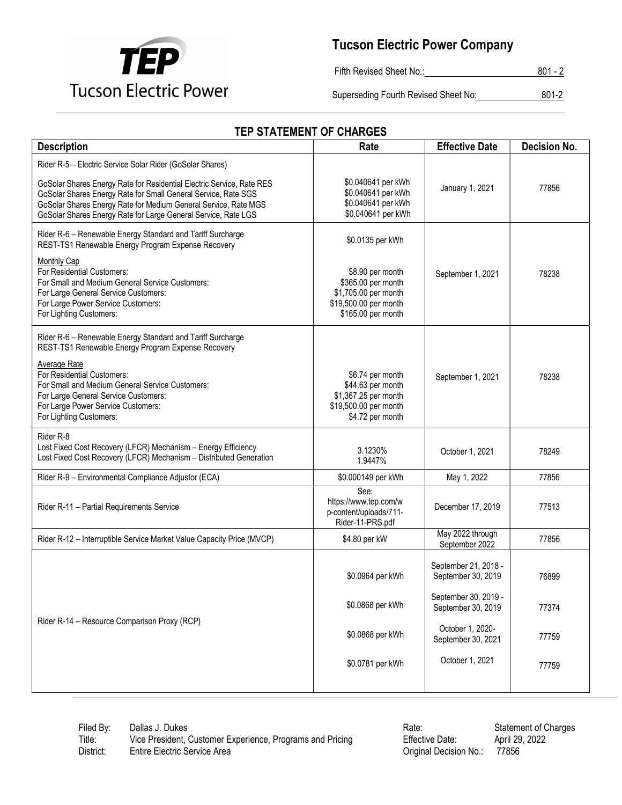

Fifth Revised Sheet No.: 801 - 2

Superseding Fourth Revised Sheet No: 801-2

| <b>Description</b>                                                                                                                                                                                                                                                                                                                        | Rate                                                                                                                              | <b>Effective Date</b>                                                                    | <b>Decision No.</b> |  |
|-------------------------------------------------------------------------------------------------------------------------------------------------------------------------------------------------------------------------------------------------------------------------------------------------------------------------------------------|-----------------------------------------------------------------------------------------------------------------------------------|------------------------------------------------------------------------------------------|---------------------|--|
| Rider R-5 - Electric Service Solar Rider (GoSolar Shares)<br>GoSolar Shares Energy Rate for Residential Electric Service, Rate RES<br>GoSolar Shares Energy Rate for Small General Service, Rate SGS<br>GoSolar Shares Energy Rate for Medium General Service, Rate MGS<br>GoSolar Shares Energy Rate for Large General Service, Rate LGS | \$0.040641 per kWh<br>\$0.040641 per kWh<br>\$0.040641 per kWh<br>\$0.040641 per kWh                                              | January 1, 2021                                                                          | 77856               |  |
| Rider R-6 - Renewable Energy Standard and Tariff Surcharge<br>REST-TS1 Renewable Energy Program Expense Recovery<br>Monthly Cap<br>For Residential Customers:<br>For Small and Medium General Service Customers:<br>For Large General Service Customers:<br>For Large Power Service Customers:<br>For Lighting Customers:                 | \$0.0135 per kWh<br>\$8.90 per month<br>\$365.00 per month<br>\$1,705.00 per month<br>\$19,500.00 per month<br>\$165.00 per month | September 1, 2021                                                                        | 78238               |  |
| Rider R-6 - Renewable Energy Standard and Tariff Surcharge<br>REST-TS1 Renewable Energy Program Expense Recovery<br><b>Average Rate</b><br>For Residential Customers:<br>For Small and Medium General Service Customers:<br>For Large General Service Customers:<br>For Large Power Service Customers:<br>For Lighting Customers:         | \$6.74 per month<br>\$44.63 per month<br>\$1,367.25 per month<br>\$19,500.00 per month<br>\$4.72 per month                        | September 1, 2021                                                                        | 78238               |  |
| Rider R-8<br>Lost Fixed Cost Recovery (LFCR) Mechanism - Energy Efficiency<br>Lost Fixed Cost Recovery (LFCR) Mechanism - Distributed Generation                                                                                                                                                                                          | 3.1230%<br>1.9447%                                                                                                                | October 1, 2021                                                                          | 78249               |  |
| Rider R-9 - Environmental Compliance Adjustor (ECA)                                                                                                                                                                                                                                                                                       | \$0.000149 per kWh                                                                                                                | May 1, 2022                                                                              | 77856               |  |
| Rider R-11 - Partial Requirements Service                                                                                                                                                                                                                                                                                                 | See:<br>https://www.tep.com/w<br>p-content/uploads/711-<br>Rider-11-PRS.pdf                                                       | December 17, 2019                                                                        | 77513               |  |
| Rider R-12 - Interruptible Service Market Value Capacity Price (MVCP)                                                                                                                                                                                                                                                                     | \$4.80 per kW                                                                                                                     | May 2022 through<br>September 2022                                                       | 77856               |  |
|                                                                                                                                                                                                                                                                                                                                           | \$0.0964 per kWh<br>\$0.0868 per kWh                                                                                              | September 21, 2018 -<br>September 30, 2019<br>September 30, 2019 -<br>September 30, 2019 | 76899<br>77374      |  |
| Rider R-14 - Resource Comparison Proxy (RCP)                                                                                                                                                                                                                                                                                              | \$0.0868 per kWh                                                                                                                  | October 1, 2020-<br>September 30, 2021                                                   | 77759               |  |
|                                                                                                                                                                                                                                                                                                                                           | \$0.0781 per kWh                                                                                                                  | October 1, 2021                                                                          | 77759               |  |

## TEP STATEMENT OF CHARGES

Filed By: Dallas J. Dukes<br>Title: Vice President, Customer Experience, Programs and Pricing Filective Date: April 29, 2022 Vice President, Customer Experience, Programs and Pricing Effective Date:<br>Entire Electric Service Area **Entire Effective Date:** Criginal Decisio District: Entire Electric Service Area **Original Decision No.:** 77856